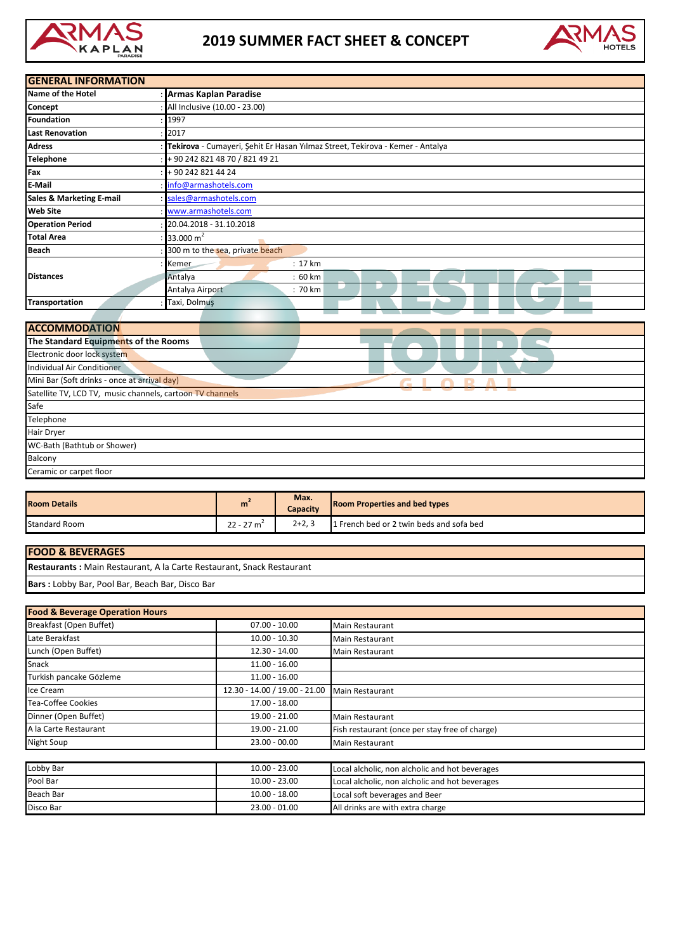

## **2019 SUMMER FACT SHEET & CONCEPT**



| <b>GENERAL INFORMATION</b>                                |                                                                               |  |  |
|-----------------------------------------------------------|-------------------------------------------------------------------------------|--|--|
| Name of the Hotel                                         | <b>Armas Kaplan Paradise</b>                                                  |  |  |
| Concept                                                   | All Inclusive (10.00 - 23.00)                                                 |  |  |
| <b>Foundation</b>                                         | 1997                                                                          |  |  |
| <b>Last Renovation</b>                                    | 2017                                                                          |  |  |
| <b>Adress</b>                                             | Tekirova - Cumayeri, Şehit Er Hasan Yılmaz Street, Tekirova - Kemer - Antalya |  |  |
| <b>Telephone</b>                                          | +90 242 821 48 70 / 821 49 21                                                 |  |  |
| Fax                                                       | +90 242 821 44 24                                                             |  |  |
| E-Mail                                                    | info@armashotels.com                                                          |  |  |
| Sales & Marketing E-mail                                  | sales@armashotels.com                                                         |  |  |
| <b>Web Site</b>                                           | www.armashotels.com                                                           |  |  |
| <b>Operation Period</b>                                   | 20.04.2018 - 31.10.2018                                                       |  |  |
| <b>Total Area</b>                                         | 33.000 $m2$                                                                   |  |  |
| <b>Beach</b>                                              | 300 m to the sea, private beach                                               |  |  |
|                                                           | Kemer<br>: 17 km                                                              |  |  |
| <b>Distances</b>                                          | :60 km<br>Antalya                                                             |  |  |
|                                                           | Antalya Airport<br>: 70 km                                                    |  |  |
| <b>Transportation</b>                                     | Taxi, Dolmuş                                                                  |  |  |
|                                                           |                                                                               |  |  |
| <b>ACCOMMODATION</b>                                      |                                                                               |  |  |
| The Standard Equipments of the Rooms                      |                                                                               |  |  |
| Electronic door lock system                               |                                                                               |  |  |
| Individual Air Conditioner                                |                                                                               |  |  |
| Mini Bar (Soft drinks - once at arrival day)<br>$\sim$    |                                                                               |  |  |
| Satellite TV, LCD TV, music channels, cartoon TV channels |                                                                               |  |  |
| Safe                                                      |                                                                               |  |  |
| Telephone                                                 |                                                                               |  |  |

Balcony

Hair Dryer

WC-Bath (Bathtub or Shower)

Ceramic or carpet floor

| <b>Room Details</b>  | m           | Max.<br>Capacity | <b>Room Properties and bed types</b>     |
|----------------------|-------------|------------------|------------------------------------------|
| <b>Standard Room</b> | $22 - 27$ m | $2+2,3$          | 1 French bed or 2 twin beds and sofa bed |

| <b>FOOD &amp; BEVERAGES</b>                                                  |
|------------------------------------------------------------------------------|
| <b>Restaurants:</b> Main Restaurant, A la Carte Restaurant, Snack Restaurant |
| Bars: Lobby Bar, Pool Bar, Beach Bar, Disco Bar                              |

| <b>Food &amp; Beverage Operation Hours</b> |                               |                                                |  |
|--------------------------------------------|-------------------------------|------------------------------------------------|--|
| Breakfast (Open Buffet)                    | $07.00 - 10.00$               | <b>Main Restaurant</b>                         |  |
| Late Berakfast                             | $10.00 - 10.30$               | <b>Main Restaurant</b>                         |  |
| Lunch (Open Buffet)                        | $12.30 - 14.00$               | <b>Main Restaurant</b>                         |  |
| Snack                                      | $11.00 - 16.00$               |                                                |  |
| Turkish pancake Gözleme                    | $11.00 - 16.00$               |                                                |  |
| Ice Cream                                  | 12.30 - 14.00 / 19.00 - 21.00 | <b>Main Restaurant</b>                         |  |
| <b>Tea-Coffee Cookies</b>                  | 17.00 - 18.00                 |                                                |  |
| Dinner (Open Buffet)                       | 19.00 - 21.00                 | <b>Main Restaurant</b>                         |  |
| A la Carte Restaurant                      | 19.00 - 21.00                 | Fish restaurant (once per stay free of charge) |  |
| Night Soup                                 | $23.00 - 00.00$               | <b>Main Restaurant</b>                         |  |
|                                            |                               |                                                |  |
| Lobby Bar                                  | $10.00 - 23.00$               | Local alcholic, non alcholic and hot beverages |  |
| Pool Bar                                   | $10.00 - 23.00$               | Local alcholic, non alcholic and hot beverages |  |
| <b>Beach Bar</b>                           | $10.00 - 18.00$               | Local soft beverages and Beer                  |  |
| Disco Bar                                  | $23.00 - 01.00$               | All drinks are with extra charge               |  |